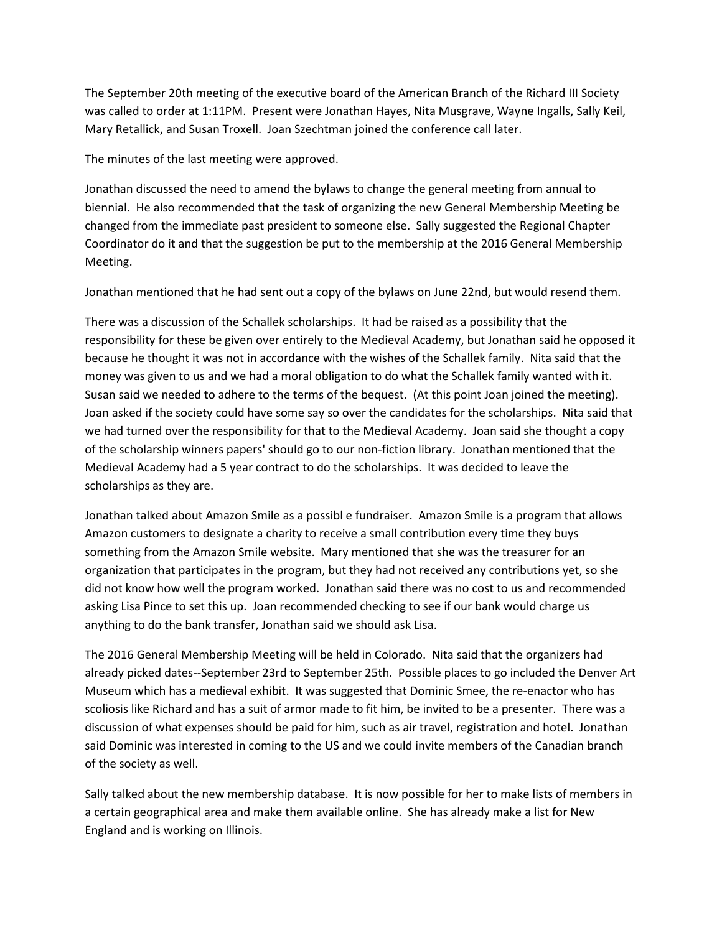The September 20th meeting of the executive board of the American Branch of the Richard III Society was called to order at 1:11PM. Present were Jonathan Hayes, Nita Musgrave, Wayne Ingalls, Sally Keil, Mary Retallick, and Susan Troxell. Joan Szechtman joined the conference call later.

The minutes of the last meeting were approved.

Jonathan discussed the need to amend the bylaws to change the general meeting from annual to biennial. He also recommended that the task of organizing the new General Membership Meeting be changed from the immediate past president to someone else. Sally suggested the Regional Chapter Coordinator do it and that the suggestion be put to the membership at the 2016 General Membership Meeting.

Jonathan mentioned that he had sent out a copy of the bylaws on June 22nd, but would resend them.

There was a discussion of the Schallek scholarships. It had be raised as a possibility that the responsibility for these be given over entirely to the Medieval Academy, but Jonathan said he opposed it because he thought it was not in accordance with the wishes of the Schallek family. Nita said that the money was given to us and we had a moral obligation to do what the Schallek family wanted with it. Susan said we needed to adhere to the terms of the bequest. (At this point Joan joined the meeting). Joan asked if the society could have some say so over the candidates for the scholarships. Nita said that we had turned over the responsibility for that to the Medieval Academy. Joan said she thought a copy of the scholarship winners papers' should go to our non-fiction library. Jonathan mentioned that the Medieval Academy had a 5 year contract to do the scholarships. It was decided to leave the scholarships as they are.

Jonathan talked about Amazon Smile as a possibl e fundraiser. Amazon Smile is a program that allows Amazon customers to designate a charity to receive a small contribution every time they buys something from the Amazon Smile website. Mary mentioned that she was the treasurer for an organization that participates in the program, but they had not received any contributions yet, so she did not know how well the program worked. Jonathan said there was no cost to us and recommended asking Lisa Pince to set this up. Joan recommended checking to see if our bank would charge us anything to do the bank transfer, Jonathan said we should ask Lisa.

The 2016 General Membership Meeting will be held in Colorado. Nita said that the organizers had already picked dates--September 23rd to September 25th. Possible places to go included the Denver Art Museum which has a medieval exhibit. It was suggested that Dominic Smee, the re-enactor who has scoliosis like Richard and has a suit of armor made to fit him, be invited to be a presenter. There was a discussion of what expenses should be paid for him, such as air travel, registration and hotel. Jonathan said Dominic was interested in coming to the US and we could invite members of the Canadian branch of the society as well.

Sally talked about the new membership database. It is now possible for her to make lists of members in a certain geographical area and make them available online. She has already make a list for New England and is working on Illinois.